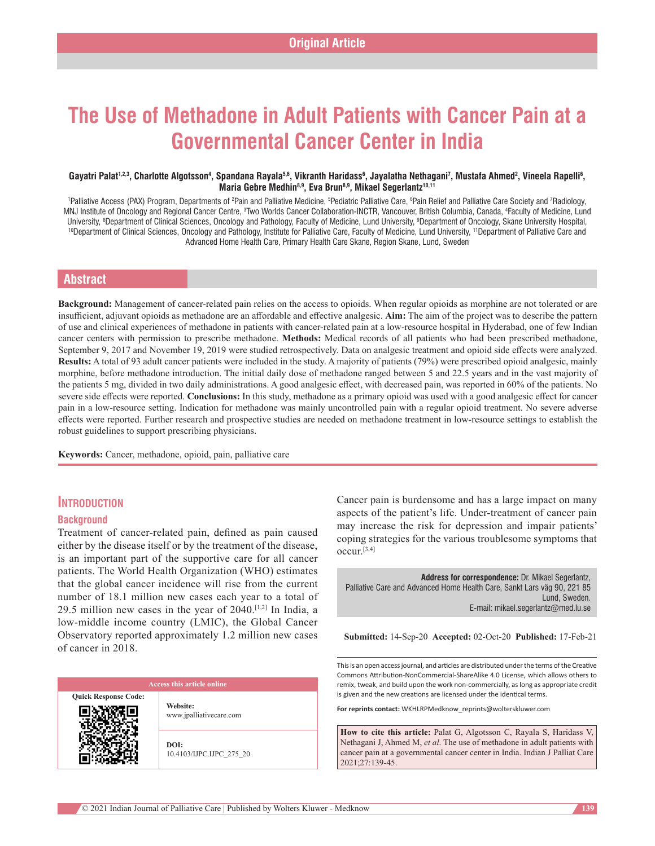# **The Use of Methadone in Adult Patients with Cancer Pain at a Governmental Cancer Center in India**

#### Gayatri Palat<sup>1,2,3</sup>, Charlotte Algotsson<sup>4</sup>, Spandana Rayala<sup>5,6</sup>, Vikranth Haridass<sup>6</sup>, Jayalatha Nethagani<sup>7</sup>, Mustafa Ahmed<sup>2</sup>, Vineela Rapelli<sup>6</sup>, Maria Gebre Medhin<sup>8,9</sup>, Eva Brun<sup>8,9</sup>, Mikael Segerlantz<sup>10,11</sup>

<sup>1</sup>Palliative Access (PAX) Program, Departments of <sup>2</sup>Pain and Palliative Medicine, <sup>s</sup>Pediatric Palliative Care, <sup>s</sup>Pain Relief and Palliative Care Society and 7Radiology, MNJ Institute of Oncology and Regional Cancer Centre, <sup>3</sup>Two Worlds Cancer Collaboration-INCTR, Vancouver, British Columbia, Canada, <sup>4</sup>Faculty of Medicine, Lund University, 8 Department of Clinical Sciences, Oncology and Pathology, Faculty of Medicine, Lund University, 9 <sup>10</sup>Department of Clinical Sciences, Oncology and Pathology, Institute for Palliative Care, Faculty of Medicine, Lund University, <sup>11</sup>Department of Palliative Care and Advanced Home Health Care, Primary Health Care Skane, Region Skane, Lund, Sweden

# **Abstract**

Background: Management of cancer-related pain relies on the access to opioids. When regular opioids as morphine are not tolerated or are insufficient, adjuvant opioids as methadone are an affordable and effective analgesic. **Aim:** The aim of the project was to describe the pattern of use and clinical experiences of methadone in patients with cancer‑related pain at a low‑resource hospital in Hyderabad, one of few Indian cancer centers with permission to prescribe methadone. **Methods:** Medical records of all patients who had been prescribed methadone, September 9, 2017 and November 19, 2019 were studied retrospectively. Data on analgesic treatment and opioid side effects were analyzed. **Results:** A total of 93 adult cancer patients were included in the study. A majority of patients (79%) were prescribed opioid analgesic, mainly morphine, before methadone introduction. The initial daily dose of methadone ranged between 5 and 22.5 years and in the vast majority of the patients 5 mg, divided in two daily administrations. A good analgesic effect, with decreased pain, was reported in 60% of the patients. No severe side effects were reported. **Conclusions:** In this study, methadone as a primary opioid was used with a good analgesic effect for cancer pain in a low‑resource setting. Indication for methadone was mainly uncontrolled pain with a regular opioid treatment. No severe adverse effects were reported. Further research and prospective studies are needed on methadone treatment in low‑resource settings to establish the robust guidelines to support prescribing physicians.

**Keywords:** Cancer, methadone, opioid, pain, palliative care

# **Introduction**

#### **Background**

Treatment of cancer-related pain, defined as pain caused either by the disease itself or by the treatment of the disease, is an important part of the supportive care for all cancer patients. The World Health Organization (WHO) estimates that the global cancer incidence will rise from the current number of 18.1 million new cases each year to a total of 29.5 million new cases in the year of  $2040$ .<sup>[1,2]</sup> In India, a low‑middle income country (LMIC), the Global Cancer Observatory reported approximately 1.2 million new cases of cancer in 2018.

**Quick Response Code: Website:** www.jpalliativecare.com **DOI:** 10.4103/IJPC.IJPC\_275\_20 Cancer pain is burdensome and has a large impact on many aspects of the patient's life. Under-treatment of cancer pain may increase the risk for depression and impair patients' coping strategies for the various troublesome symptoms that occur.[3,4]

**Address for correspondence:** Dr. Mikael Segerlantz, Palliative Care and Advanced Home Health Care, Sankt Lars väg 90, 221 85 Lund, Sweden. E‑mail: mikael.segerlantz@med.lu.se

**Submitted:** 14-Sep-20 **Accepted:** 02-Oct-20 **Published:** 17-Feb-21

This is an open access journal, and articles are distributed under the terms of the Creative Commons Attribution‑NonCommercial‑ShareAlike 4.0 License, which allows others to remix, tweak, and build upon the work non‑commercially, as long as appropriate credit is given and the new creations are licensed under the identical terms.

**For reprints contact:** WKHLRPMedknow\_reprints@wolterskluwer.com

**How to cite this article:** Palat G, Algotsson C, Rayala S, Haridass V, Nethagani J, Ahmed M, *et al*. The use of methadone in adult patients with cancer pain at a governmental cancer center in India. Indian J Palliat Care 2021;27:139-45.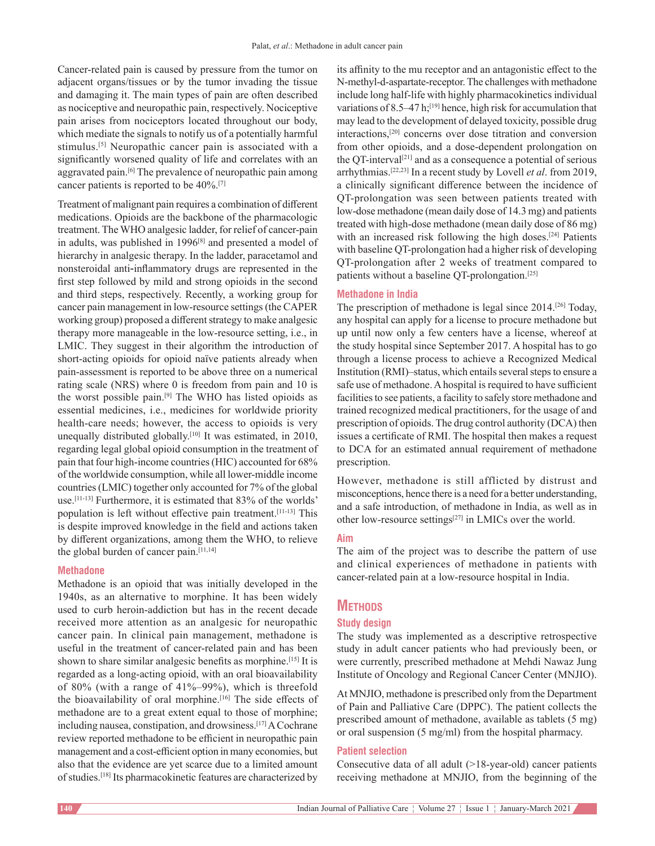Cancer-related pain is caused by pressure from the tumor on adjacent organs/tissues or by the tumor invading the tissue and damaging it. The main types of pain are often described as nociceptive and neuropathic pain, respectively. Nociceptive pain arises from nociceptors located throughout our body, which mediate the signals to notify us of a potentially harmful stimulus.[5] Neuropathic cancer pain is associated with a significantly worsened quality of life and correlates with an aggravated pain.<sup>[6]</sup> The prevalence of neuropathic pain among cancer patients is reported to be 40%.[7]

Treatment of malignant pain requires a combination of different medications. Opioids are the backbone of the pharmacologic treatment. The WHO analgesic ladder, for relief of cancer-pain in adults, was published in 1996<sup>[8]</sup> and presented a model of hierarchy in analgesic therapy. In the ladder, paracetamol and nonsteroidal anti‐inflammatory drugs are represented in the first step followed by mild and strong opioids in the second and third steps, respectively. Recently, a working group for cancer pain management in low‑resource settings(the CAPER working group) proposed a different strategy to make analgesic therapy more manageable in the low‑resource setting, i.e., in LMIC. They suggest in their algorithm the introduction of short-acting opioids for opioid naïve patients already when pain‑assessment is reported to be above three on a numerical rating scale (NRS) where 0 is freedom from pain and 10 is the worst possible pain.[9] The WHO has listed opioids as essential medicines, i.e., medicines for worldwide priority health-care needs; however, the access to opioids is very unequally distributed globally.[10] It was estimated, in 2010, regarding legal global opioid consumption in the treatment of pain that four high-income countries (HIC) accounted for 68% of the worldwide consumption, while all lower-middle income countries(LMIC) together only accounted for 7% of the global use.<sup>[11-13]</sup> Furthermore, it is estimated that 83% of the worlds' population is left without effective pain treatment.[11‑13] This is despite improved knowledge in the field and actions taken by different organizations, among them the WHO, to relieve the global burden of cancer pain.<sup>[11,14]</sup>

## **Methadone**

Methadone is an opioid that was initially developed in the 1940s, as an alternative to morphine. It has been widely used to curb heroin‑addiction but has in the recent decade received more attention as an analgesic for neuropathic cancer pain. In clinical pain management, methadone is useful in the treatment of cancer-related pain and has been shown to share similar analgesic benefits as morphine.<sup>[15]</sup> It is regarded as a long‑acting opioid, with an oral bioavailability of 80% (with a range of 41%–99%), which is threefold the bioavailability of oral morphine.<sup>[16]</sup> The side effects of methadone are to a great extent equal to those of morphine; including nausea, constipation, and drowsiness.[17] A Cochrane review reported methadone to be efficient in neuropathic pain management and a cost-efficient option in many economies, but also that the evidence are yet scarce due to a limited amount of studies.[18] Its pharmacokinetic features are characterized by its affinity to the mu receptor and an antagonistic effect to the N-methyl-d-aspartate-receptor. The challenges with methadone include long half-life with highly pharmacokinetics individual variations of 8.5–47 h;<sup>[19]</sup> hence, high risk for accumulation that may lead to the development of delayed toxicity, possible drug interactions,[20] concerns over dose titration and conversion from other opioids, and a dose-dependent prolongation on the QT-interval<sup>[21]</sup> and as a consequence a potential of serious arrhythmias.[22,23] In a recent study by Lovell *et al*. from 2019, a clinically significant difference between the incidence of QT‑prolongation was seen between patients treated with low‑dose methadone (mean daily dose of 14.3 mg) and patients treated with high-dose methadone (mean daily dose of 86 mg) with an increased risk following the high doses.<sup>[24]</sup> Patients with baseline QT-prolongation had a higher risk of developing QT‑prolongation after 2 weeks of treatment compared to patients without a baseline QT-prolongation.<sup>[25]</sup>

#### **Methadone in India**

The prescription of methadone is legal since 2014.<sup>[26]</sup> Today, any hospital can apply for a license to procure methadone but up until now only a few centers have a license, whereof at the study hospital since September 2017. A hospital has to go through a license process to achieve a Recognized Medical Institution (RMI)–status, which entails several steps to ensure a safe use of methadone. Ahospital is required to have sufficient facilities to see patients, a facility to safely store methadone and trained recognized medical practitioners, for the usage of and prescription of opioids. The drug control authority (DCA) then issues a certificate of RMI. The hospital then makes a request to DCA for an estimated annual requirement of methadone prescription.

However, methadone is still afflicted by distrust and misconceptions, hence there is a need for a better understanding, and a safe introduction, of methadone in India, as well as in other low-resource settings<sup>[27]</sup> in LMICs over the world.

## **Aim**

The aim of the project was to describe the pattern of use and clinical experiences of methadone in patients with cancer‑related pain at a low‑resource hospital in India.

# **Methods**

#### **Study design**

The study was implemented as a descriptive retrospective study in adult cancer patients who had previously been, or were currently, prescribed methadone at Mehdi Nawaz Jung Institute of Oncology and Regional Cancer Center (MNJIO).

At MNJIO, methadone is prescribed only from the Department of Pain and Palliative Care (DPPC). The patient collects the prescribed amount of methadone, available as tablets (5 mg) or oral suspension (5 mg/ml) from the hospital pharmacy.

## **Patient selection**

Consecutive data of all adult (>18-year-old) cancer patients receiving methadone at MNJIO, from the beginning of the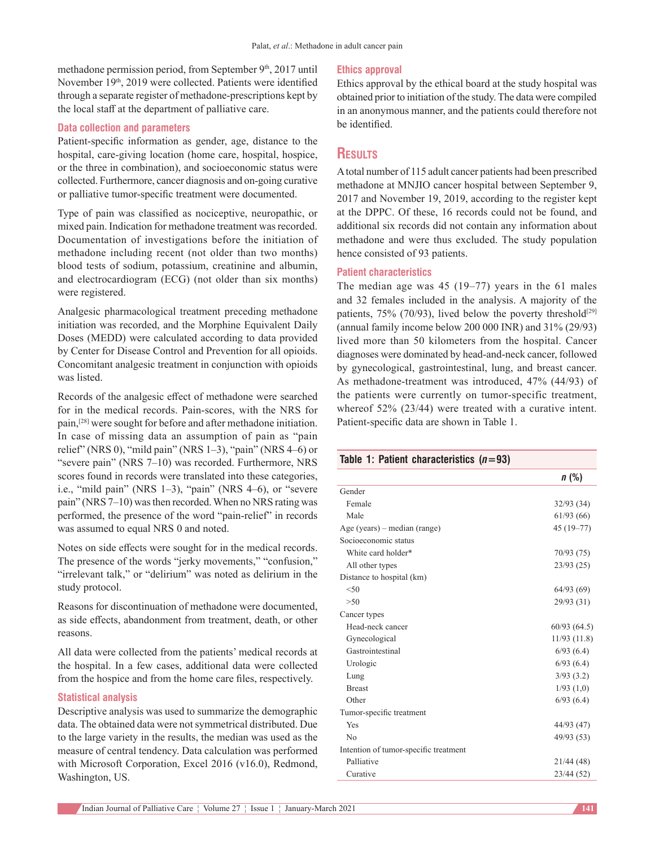methadone permission period, from September 9<sup>th</sup>, 2017 until November 19<sup>th</sup>, 2019 were collected. Patients were identified through a separate register of methadone‑prescriptions kept by the local staff at the department of palliative care.

#### **Data collection and parameters**

Patient-specific information as gender, age, distance to the hospital, care-giving location (home care, hospital, hospice, or the three in combination), and socioeconomic status were collected. Furthermore, cancer diagnosis and on‑going curative or palliative tumor‑specific treatment were documented.

Type of pain was classified as nociceptive, neuropathic, or mixed pain. Indication for methadone treatment was recorded. Documentation of investigations before the initiation of methadone including recent (not older than two months) blood tests of sodium, potassium, creatinine and albumin, and electrocardiogram (ECG) (not older than six months) were registered.

Analgesic pharmacological treatment preceding methadone initiation was recorded, and the Morphine Equivalent Daily Doses (MEDD) were calculated according to data provided by Center for Disease Control and Prevention for all opioids. Concomitant analgesic treatment in conjunction with opioids was listed.

Records of the analgesic effect of methadone were searched for in the medical records. Pain‑scores, with the NRS for pain,[28] were sought for before and after methadone initiation. In case of missing data an assumption of pain as "pain relief" (NRS 0), "mild pain" (NRS 1–3), "pain" (NRS 4–6) or "severe pain" (NRS 7–10) was recorded. Furthermore, NRS scores found in records were translated into these categories, i.e., "mild pain" (NRS 1–3), "pain" (NRS 4–6), or "severe pain" (NRS 7–10) was then recorded. When no NRS rating was performed, the presence of the word "pain‑relief" in records was assumed to equal NRS 0 and noted.

Notes on side effects were sought for in the medical records. The presence of the words "jerky movements," "confusion," "irrelevant talk," or "delirium" was noted as delirium in the study protocol.

Reasons for discontinuation of methadone were documented, as side effects, abandonment from treatment, death, or other reasons.

All data were collected from the patients' medical records at the hospital. In a few cases, additional data were collected from the hospice and from the home care files, respectively.

## **Statistical analysis**

Descriptive analysis was used to summarize the demographic data. The obtained data were not symmetrical distributed. Due to the large variety in the results, the median was used as the measure of central tendency. Data calculation was performed with Microsoft Corporation, Excel 2016 (v16.0), Redmond, Washington, US.

#### **Ethics approval**

Ethics approval by the ethical board at the study hospital was obtained prior to initiation of the study. The data were compiled in an anonymous manner, and the patients could therefore not be identified.

# **Results**

A total number of 115 adult cancer patients had been prescribed methadone at MNJIO cancer hospital between September 9, 2017 and November 19, 2019, according to the register kept at the DPPC. Of these, 16 records could not be found, and additional six records did not contain any information about methadone and were thus excluded. The study population hence consisted of 93 patients.

#### **Patient characteristics**

The median age was 45 (19–77) years in the 61 males and 32 females included in the analysis. A majority of the patients, 75% (70/93), lived below the poverty threshold<sup>[29]</sup> (annual family income below 200 000 INR) and 31% (29/93) lived more than 50 kilometers from the hospital. Cancer diagnoses were dominated by head‑and‑neck cancer, followed by gynecological, gastrointestinal, lung, and breast cancer. As methadone-treatment was introduced, 47% (44/93) of the patients were currently on tumor-specific treatment, whereof 52% (23/44) were treated with a curative intent. Patient-specific data are shown in Table 1.

#### **Table 1: Patient characteristics (***n***=93)**

|                                       | n(%)          |
|---------------------------------------|---------------|
| Gender                                |               |
| Female                                | 32/93(34)     |
| Male                                  | 61/93(66)     |
| Age (years) – median (range)          | $45(19 - 77)$ |
| Socioeconomic status                  |               |
| White card holder*                    | 70/93 (75)    |
| All other types                       | 23/93(25)     |
| Distance to hospital (km)             |               |
| < 50                                  | 64/93(69)     |
| >50                                   | 29/93(31)     |
| Cancer types                          |               |
| Head-neck cancer                      | 60/93(64.5)   |
| Gynecological                         | 11/93(11.8)   |
| Gastrointestinal                      | 6/93(6.4)     |
| Urologic                              | 6/93(6.4)     |
| Lung                                  | 3/93(3.2)     |
| <b>Breast</b>                         | 1/93(1,0)     |
| Other                                 | 6/93(6.4)     |
| Tumor-specific treatment              |               |
| Yes                                   | 44/93 (47)    |
| No                                    | 49/93 (53)    |
| Intention of tumor-specific treatment |               |
| Palliative                            | 21/44 (48)    |
| Curative                              | 23/44 (52)    |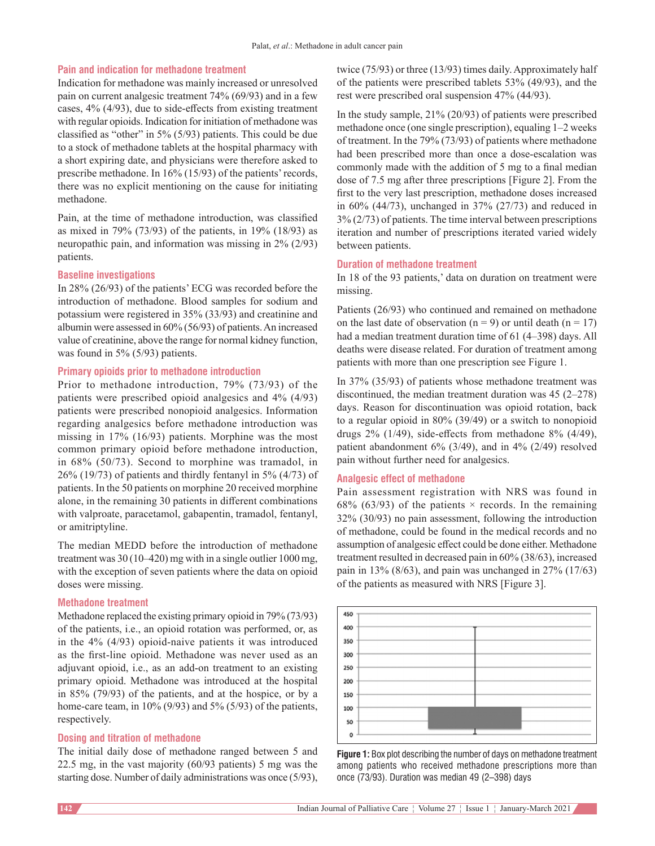### **Pain and indication for methadone treatment**

Indication for methadone was mainly increased or unresolved pain on current analgesic treatment 74% (69/93) and in a few cases, 4% (4/93), due to side‑effects from existing treatment with regular opioids. Indication for initiation of methadone was classified as "other" in 5% (5/93) patients. This could be due to a stock of methadone tablets at the hospital pharmacy with a short expiring date, and physicians were therefore asked to prescribe methadone. In 16% (15/93) of the patients' records, there was no explicit mentioning on the cause for initiating methadone.

Pain, at the time of methadone introduction, was classified as mixed in 79% (73/93) of the patients, in 19% (18/93) as neuropathic pain, and information was missing in 2% (2/93) patients.

#### **Baseline investigations**

In 28% (26/93) of the patients' ECG was recorded before the introduction of methadone. Blood samples for sodium and potassium were registered in 35% (33/93) and creatinine and albumin were assessed in 60% (56/93) of patients. An increased value of creatinine, above the range for normal kidney function, was found in 5% (5/93) patients.

#### **Primary opioids prior to methadone introduction**

Prior to methadone introduction, 79% (73/93) of the patients were prescribed opioid analgesics and 4% (4/93) patients were prescribed nonopioid analgesics. Information regarding analgesics before methadone introduction was missing in 17% (16/93) patients. Morphine was the most common primary opioid before methadone introduction, in 68% (50/73). Second to morphine was tramadol, in 26% (19/73) of patients and thirdly fentanyl in 5% (4/73) of patients. In the 50 patients on morphine 20 received morphine alone, in the remaining 30 patients in different combinations with valproate, paracetamol, gabapentin, tramadol, fentanyl, or amitriptyline.

The median MEDD before the introduction of methadone treatment was 30 (10–420) mg with in a single outlier 1000 mg, with the exception of seven patients where the data on opioid doses were missing.

#### **Methadone treatment**

Methadone replaced the existing primary opioid in 79% (73/93) of the patients, i.e., an opioid rotation was performed, or, as in the  $4\%$  ( $4/93$ ) opioid-naive patients it was introduced as the first-line opioid. Methadone was never used as an adjuvant opioid, i.e., as an add-on treatment to an existing primary opioid. Methadone was introduced at the hospital in 85% (79/93) of the patients, and at the hospice, or by a home-care team, in  $10\%$  (9/93) and 5% (5/93) of the patients, respectively.

#### **Dosing and titration of methadone**

The initial daily dose of methadone ranged between 5 and 22.5 mg, in the vast majority (60/93 patients) 5 mg was the starting dose. Number of daily administrations was once (5/93),

twice (75/93) or three (13/93) times daily. Approximately half of the patients were prescribed tablets 53% (49/93), and the rest were prescribed oral suspension 47% (44/93).

In the study sample, 21% (20/93) of patients were prescribed methadone once (one single prescription), equaling 1–2 weeks of treatment. In the 79% (73/93) of patients where methadone had been prescribed more than once a dose-escalation was commonly made with the addition of 5 mg to a final median dose of 7.5 mg after three prescriptions [Figure 2]. From the first to the very last prescription, methadone doses increased in 60% (44/73), unchanged in 37% (27/73) and reduced in 3% (2/73) of patients. The time interval between prescriptions iteration and number of prescriptions iterated varied widely between patients.

#### **Duration of methadone treatment**

In 18 of the 93 patients,' data on duration on treatment were missing.

Patients (26/93) who continued and remained on methadone on the last date of observation ( $n = 9$ ) or until death ( $n = 17$ ) had a median treatment duration time of 61 (4–398) days. All deaths were disease related. For duration of treatment among patients with more than one prescription see Figure 1.

In 37% (35/93) of patients whose methadone treatment was discontinued, the median treatment duration was 45 (2–278) days. Reason for discontinuation was opioid rotation, back to a regular opioid in 80% (39/49) or a switch to nonopioid drugs  $2\%$  (1/49), side-effects from methadone  $8\%$  (4/49), patient abandonment 6% (3/49), and in 4% (2/49) resolved pain without further need for analgesics.

#### **Analgesic effect of methadone**

Pain assessment registration with NRS was found in 68% (63/93) of the patients  $\times$  records. In the remaining 32% (30/93) no pain assessment, following the introduction of methadone, could be found in the medical records and no assumption of analgesic effect could be done either. Methadone treatment resulted in decreased pain in 60% (38/63), increased pain in 13% (8/63), and pain was unchanged in 27% (17/63) of the patients as measured with NRS [Figure 3].



**Figure 1:** Box plot describing the number of days on methadone treatment among patients who received methadone prescriptions more than once (73/93). Duration was median 49 (2–398) days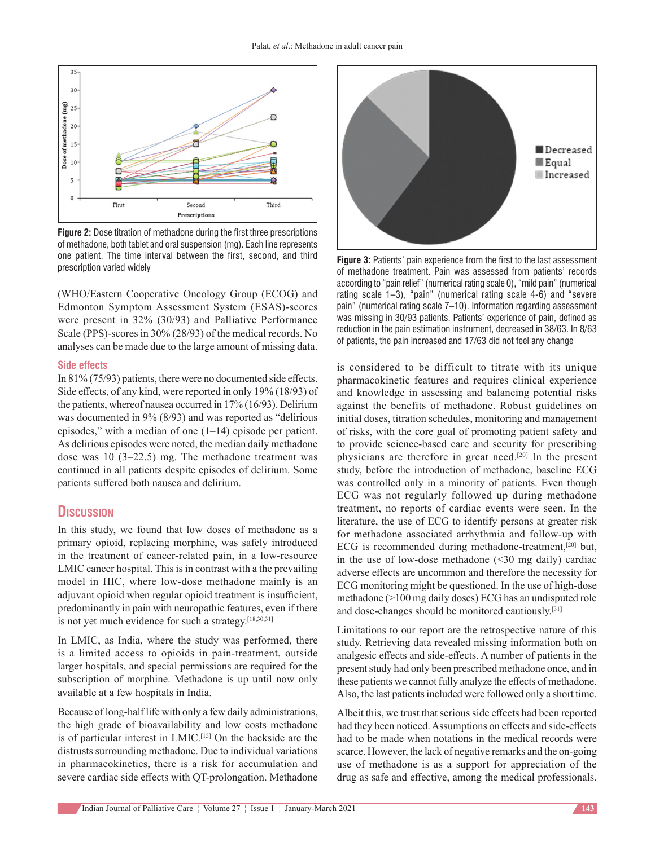

**Figure 2:** Dose titration of methadone during the first three prescriptions of methadone, both tablet and oral suspension (mg). Each line represents one patient. The time interval between the first, second, and third prescription varied widely **Figure 3:** Patients' pain experience from the first to the last assessment

(WHO/Eastern Cooperative Oncology Group (ECOG) and Edmonton Symptom Assessment System (ESAS)‑scores were present in 32% (30/93) and Palliative Performance Scale (PPS)-scores in 30% (28/93) of the medical records. No analyses can be made due to the large amount of missing data.

#### **Side effects**

In 81% (75/93) patients, there were no documented side effects. Side effects, of any kind, were reported in only 19% (18/93) of the patients, whereof nausea occurred in 17% (16/93). Delirium was documented in 9% (8/93) and was reported as "delirious episodes," with a median of one  $(1-14)$  episode per patient. As delirious episodes were noted, the median daily methadone dose was 10 (3–22.5) mg. The methadone treatment was continued in all patients despite episodes of delirium. Some patients suffered both nausea and delirium.

# **Discussion**

In this study, we found that low doses of methadone as a primary opioid, replacing morphine, was safely introduced in the treatment of cancer-related pain, in a low-resource LMIC cancer hospital. This is in contrast with a the prevailing model in HIC, where low‑dose methadone mainly is an adjuvant opioid when regular opioid treatment is insufficient, predominantly in pain with neuropathic features, even if there is not yet much evidence for such a strategy.<sup>[18,30,31]</sup>

In LMIC, as India, where the study was performed, there is a limited access to opioids in pain-treatment, outside larger hospitals, and special permissions are required for the subscription of morphine. Methadone is up until now only available at a few hospitals in India.

Because of long-half life with only a few daily administrations, the high grade of bioavailability and low costs methadone is of particular interest in LMIC.[15] On the backside are the distrusts surrounding methadone. Due to individual variations in pharmacokinetics, there is a risk for accumulation and severe cardiac side effects with OT-prolongation. Methadone



of methadone treatment. Pain was assessed from patients' records according to "pain relief"(numerical rating scale 0), "mild pain"(numerical rating scale 1–3), "pain" (numerical rating scale 4‑6) and "severe pain" (numerical rating scale 7–10). Information regarding assessment was missing in 30/93 patients. Patients' experience of pain, defined as reduction in the pain estimation instrument, decreased in 38/63. In 8/63 of patients, the pain increased and 17/63 did not feel any change

is considered to be difficult to titrate with its unique pharmacokinetic features and requires clinical experience and knowledge in assessing and balancing potential risks against the benefits of methadone. Robust guidelines on initial doses, titration schedules, monitoring and management of risks, with the core goal of promoting patient safety and to provide science-based care and security for prescribing physicians are therefore in great need.[20] In the present study, before the introduction of methadone, baseline ECG was controlled only in a minority of patients. Even though ECG was not regularly followed up during methadone treatment, no reports of cardiac events were seen. In the literature, the use of ECG to identify persons at greater risk for methadone associated arrhythmia and follow‑up with ECG is recommended during methadone-treatment,<sup>[20]</sup> but, in the use of low-dose methadone  $(\leq 30 \text{ mg daily})$  cardiac adverse effects are uncommon and therefore the necessity for ECG monitoring might be questioned. In the use of high-dose methadone (>100 mg daily doses) ECG has an undisputed role and dose-changes should be monitored cautiously.<sup>[31]</sup>

Limitations to our report are the retrospective nature of this study. Retrieving data revealed missing information both on analgesic effects and side‑effects. A number of patients in the present study had only been prescribed methadone once, and in these patients we cannot fully analyze the effects of methadone. Also, the last patients included were followed only a short time.

Albeit this, we trust that serious side effects had been reported had they been noticed. Assumptions on effects and side-effects had to be made when notations in the medical records were scarce. However, the lack of negative remarks and the on-going use of methadone is as a support for appreciation of the drug as safe and effective, among the medical professionals.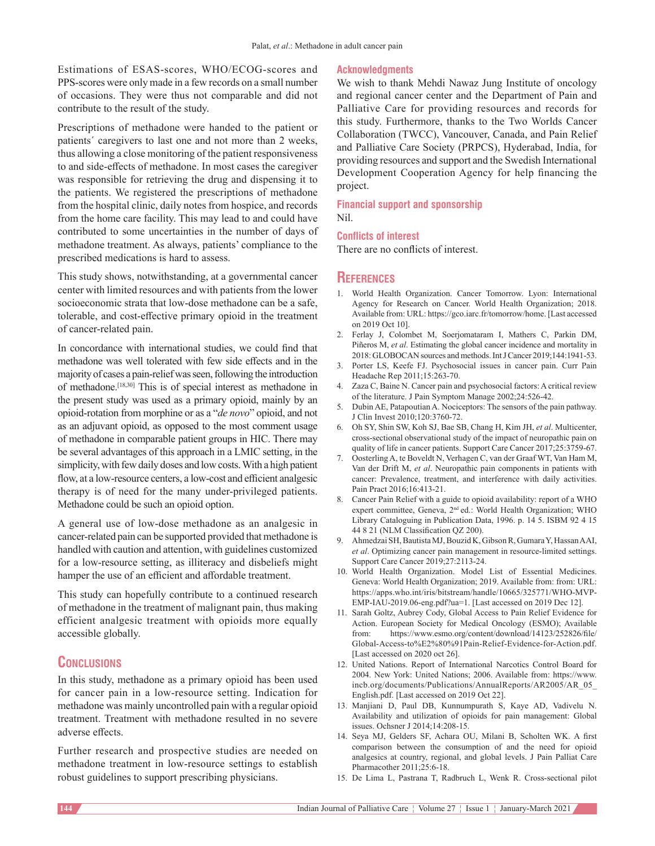Estimations of ESAS‑scores, WHO/ECOG‑scores and PPS‑scores were only made in a few records on a small number of occasions. They were thus not comparable and did not contribute to the result of the study.

Prescriptions of methadone were handed to the patient or patients´ caregivers to last one and not more than 2 weeks, thus allowing a close monitoring of the patient responsiveness to and side‑effects of methadone. In most cases the caregiver was responsible for retrieving the drug and dispensing it to the patients. We registered the prescriptions of methadone from the hospital clinic, daily notes from hospice, and records from the home care facility. This may lead to and could have contributed to some uncertainties in the number of days of methadone treatment. As always, patients' compliance to the prescribed medications is hard to assess.

This study shows, notwithstanding, at a governmental cancer center with limited resources and with patients from the lower socioeconomic strata that low-dose methadone can be a safe, tolerable, and cost‑effective primary opioid in the treatment of cancer‑related pain.

In concordance with international studies, we could find that methadone was well tolerated with few side effects and in the majority of cases a pain‑relief was seen, following the introduction of methadone.[18,30] This is of special interest as methadone in the present study was used as a primary opioid, mainly by an opioid‑rotation from morphine or as a "*de novo*" opioid, and not as an adjuvant opioid, as opposed to the most comment usage of methadone in comparable patient groups in HIC. There may be several advantages of this approach in a LMIC setting, in the simplicity, with few daily doses and low costs. With a high patient flow, at a low-resource centers, a low-cost and efficient analgesic therapy is of need for the many under‑privileged patients. Methadone could be such an opioid option.

A general use of low‑dose methadone as an analgesic in cancer‑related pain can be supported provided that methadone is handled with caution and attention, with guidelines customized for a low‑resource setting, as illiteracy and disbeliefs might hamper the use of an efficient and affordable treatment.

This study can hopefully contribute to a continued research of methadone in the treatment of malignant pain, thus making efficient analgesic treatment with opioids more equally accessible globally.

# **Conclusions**

In this study, methadone as a primary opioid has been used for cancer pain in a low‑resource setting. Indication for methadone was mainly uncontrolled pain with a regular opioid treatment. Treatment with methadone resulted in no severe adverse effects.

Further research and prospective studies are needed on methadone treatment in low-resource settings to establish robust guidelines to support prescribing physicians.

## **Acknowledgments**

We wish to thank Mehdi Nawaz Jung Institute of oncology and regional cancer center and the Department of Pain and Palliative Care for providing resources and records for this study. Furthermore, thanks to the Two Worlds Cancer Collaboration (TWCC), Vancouver, Canada, and Pain Relief and Palliative Care Society (PRPCS), Hyderabad, India, for providing resources and support and the Swedish International Development Cooperation Agency for help financing the project.

**Financial support and sponsorship** Nil.

# **Conflicts of interest**

There are no conflicts of interest.

# **References**

- 1. World Health Organization. Cancer Tomorrow. Lyon: International Agency for Research on Cancer. World Health Organization; 2018. Available from: URL: https://gco.iarc.fr/tomorrow/home. [Last accessed on 2019 Oct 10].
- 2. Ferlay J, Colombet M, Soerjomataram I, Mathers C, Parkin DM, Piñeros M, *et al*. Estimating the global cancer incidence and mortality in 2018: GLOBOCAN sources and methods. Int J Cancer 2019;144:1941-53.
- 3. Porter LS, Keefe FJ. Psychosocial issues in cancer pain. Curr Pain Headache Rep 2011;15:263‑70.
- 4. Zaza C, Baine N. Cancer pain and psychosocial factors: Acritical review of the literature. J Pain Symptom Manage 2002;24:526‑42.
- 5. Dubin AE, Patapoutian A. Nociceptors: The sensors of the pain pathway. J Clin Invest 2010;120:3760‑72.
- 6. Oh SY, Shin SW, Koh SJ, Bae SB, Chang H, Kim JH, *et al*. Multicenter, cross‑sectional observational study of the impact of neuropathic pain on quality of life in cancer patients. Support Care Cancer 2017;25:3759-67.
- 7. Oosterling A, te Boveldt N, Verhagen C, van der Graaf WT, Van Ham M, Van der Drift M, *et al*. Neuropathic pain components in patients with cancer: Prevalence, treatment, and interference with daily activities. Pain Pract 2016;16:413‑21.
- 8. Cancer Pain Relief with a guide to opioid availability: report of a WHO expert committee, Geneva, 2nd ed.: World Health Organization; WHO Library Cataloguing in Publication Data, 1996. p. 14 5. ISBM 92 4 15 44 8 21 (NLM Classification QZ 200).
- 9. Ahmedzai SH, BautistaMJ, Bouzid K, GibsonR, GumaraY, HassanAAI, *et al.* Optimizing cancer pain management in resource-limited settings. Support Care Cancer 2019;27:2113-24.
- 10. World Health Organization. Model List of Essential Medicines. Geneva: World Health Organization; 2019. Available from: from: URL: https://apps.who.int/iris/bitstream/handle/10665/325771/WHO‑MVP-EMP-IAU-2019.06-eng.pdf?ua=1. [Last accessed on 2019 Dec 12].
- 11. Sarah Goltz, Aubrey Cody, Global Access to Pain Relief Evidence for Action. European Society for Medical Oncology (ESMO); Available from: https://www.esmo.org/content/download/14123/252826/file/ Global-Access-to%E2%80%91Pain-Relief-Evidence-for-Action.pdf. [Last accessed on 2020 oct 26].
- 12. United Nations. Report of International Narcotics Control Board for 2004. New York: United Nations; 2006. Available from: https://www. incb.org/documents/Publications/AnnualReports/AR2005/AR\_05\_ English.pdf. [Last accessed on 2019 Oct 22].
- 13. Manjiani D, Paul DB, Kunnumpurath S, Kaye AD, Vadivelu N. Availability and utilization of opioids for pain management: Global issues. Ochsner J 2014;14:208‑15.
- 14. Seya MJ, Gelders SF, Achara OU, Milani B, Scholten WK. A first comparison between the consumption of and the need for opioid analgesics at country, regional, and global levels. J Pain Palliat Care Pharmacother 2011;25:6‑18.
- 15. De Lima L, Pastrana T, Radbruch L, Wenk R. Cross‑sectional pilot